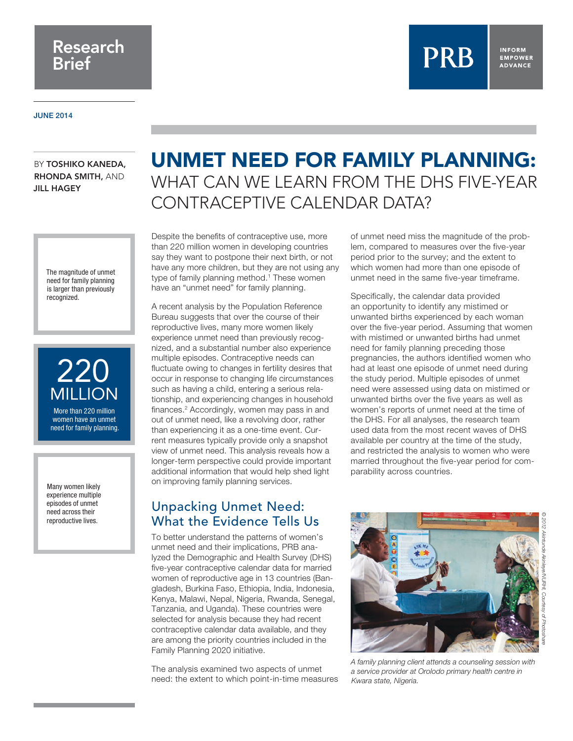## Research Brief

#### **INFORM EMPOWER ADVANCE**

JUNE 2014

BY TOSHIKO KANEDA. RHONDA SMITH, AND JILL HAGEY

> The magnitude of unmet need for family planning is larger than previously recognized.



women have an unmet need for family planning.

Many women likely experience multiple episodes of unmet need across their reproductive lives.

# UNMET NEED FOR FAMILY PLANNING: WHAT CAN WE LEARN FROM THE DHS FIVE-YEAR CONTRACEPTIVE CALENDAR DATA?

Despite the benefits of contraceptive use, more than 220 million women in developing countries say they want to postpone their next birth, or not have any more children, but they are not using any type of family planning method.<sup>1</sup> These women have an "unmet need" for family planning.

A recent analysis by the Population Reference Bureau suggests that over the course of their reproductive lives, many more women likely experience unmet need than previously recognized, and a substantial number also experience multiple episodes. Contraceptive needs can fluctuate owing to changes in fertility desires that occur in response to changing life circumstances such as having a child, entering a serious relationship, and experiencing changes in household finances.<sup>2</sup> Accordingly, women may pass in and out of unmet need, like a revolving door, rather than experiencing it as a one-time event. Current measures typically provide only a snapshot view of unmet need. This analysis reveals how a longer-term perspective could provide important additional information that would help shed light on improving family planning services.

### Unpacking Unmet Need: What the Evidence Tells Us

To better understand the patterns of women's unmet need and their implications, PRB analyzed the Demographic and Health Survey (DHS) five-year contraceptive calendar data for married women of reproductive age in 13 countries (Bangladesh, Burkina Faso, Ethiopia, India, Indonesia, Kenya, Malawi, Nepal, Nigeria, Rwanda, Senegal, Tanzania, and Uganda). These countries were selected for analysis because they had recent contraceptive calendar data available, and they are among the priority countries included in the Family Planning 2020 initiative.

The analysis examined two aspects of unmet need: the extent to which point-in-time measures

of unmet need miss the magnitude of the problem, compared to measures over the five-year period prior to the survey; and the extent to which women had more than one episode of unmet need in the same five-year timeframe.

**PRB** 

Specifically, the calendar data provided an opportunity to identify any mistimed or unwanted births experienced by each woman over the five-year period. Assuming that women with mistimed or unwanted births had unmet need for family planning preceding those pregnancies, the authors identified women who had at least one episode of unmet need during the study period. Multiple episodes of unmet need were assessed using data on mistimed or unwanted births over the five years as well as women's reports of unmet need at the time of the DHS. For all analyses, the research team used data from the most recent waves of DHS available per country at the time of the study, and restricted the analysis to women who were married throughout the five-year period for comparability across countries.



*Kwara state, Nigeria.*

*© 2012 Akintunde Akinleye/NURHI, Courtesy of Photoshare*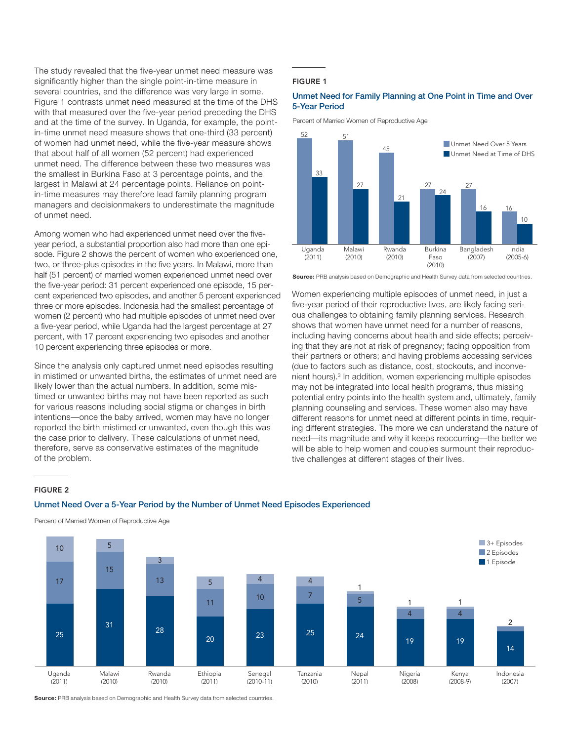The study revealed that the five-year unmet need measure was significantly higher than the single point-in-time measure in several countries, and the difference was very large in some. Figure 1 contrasts unmet need measured at the time of the DHS with that measured over the five-year period preceding the DHS and at the time of the survey. In Uganda, for example, the pointin-time unmet need measure shows that one-third (33 percent) of women had unmet need, while the five-year measure shows that about half of all women (52 percent) had experienced unmet need. The difference between these two measures was the smallest in Burkina Faso at 3 percentage points, and the largest in Malawi at 24 percentage points. Reliance on pointin-time measures may therefore lead family planning program managers and decisionmakers to underestimate the magnitude of unmet need.

Among women who had experienced unmet need over the fiveyear period, a substantial proportion also had more than one episode. Figure 2 shows the percent of women who experienced one. two, or three-plus episodes in the five years. In Malawi, more than half (51 percent) of married women experienced unmet need over the five-year period: 31 percent experienced one episode, 15 percent experienced two episodes, and another 5 percent experienced three or more episodes. Indonesia had the smallest percentage of women (2 percent) who had multiple episodes of unmet need over a five-year period, while Uganda had the largest percentage at 27 percent, with 17 percent experiencing two episodes and another 10 percent experiencing three episodes or more.

Since the analysis only captured unmet need episodes resulting in mistimed or unwanted births, the estimates of unmet need are likely lower than the actual numbers. In addition, some mistimed or unwanted births may not have been reported as such for various reasons including social stigma or changes in birth intentions—once the baby arrived, women may have no longer reported the birth mistimed or unwanted, even though this was the case prior to delivery. These calculations of unmet need, therefore, serve as conservative estimates of the magnitude of the problem.

#### FIGURE 1

#### Unmet Need for Family Planning at One Point in Time and Over 5-Year Period

Percent of Married Women of Reproductive Age



**Source:** PRB analysis based on Demographic and Health Survey data from selected countries.

Women experiencing multiple episodes of unmet need, in just a five-year period of their reproductive lives, are likely facing serious challenges to obtaining family planning services. Research shows that women have unmet need for a number of reasons, including having concerns about health and side effects; perceiving that they are not at risk of pregnancy; facing opposition from their partners or others; and having problems accessing services (due to factors such as distance, cost, stockouts, and inconvenient hours).<sup>3</sup> In addition, women experiencing multiple episodes may not be integrated into local health programs, thus missing potential entry points into the health system and, ultimately, family planning counseling and services. These women also may have different reasons for unmet need at different points in time, requiring different strategies. The more we can understand the nature of need—its magnitude and why it keeps reoccurring—the better we will be able to help women and couples surmount their reproductive challenges at different stages of their lives.

#### FIGURE 2

#### Unmet Need Over a 5-Year Period by the Number of Unmet Need Episodes Experienced



Percent of Married Women of Reproductive Age

**Source:** PRB analysis based on Demographic and Health Survey data from selected countries.